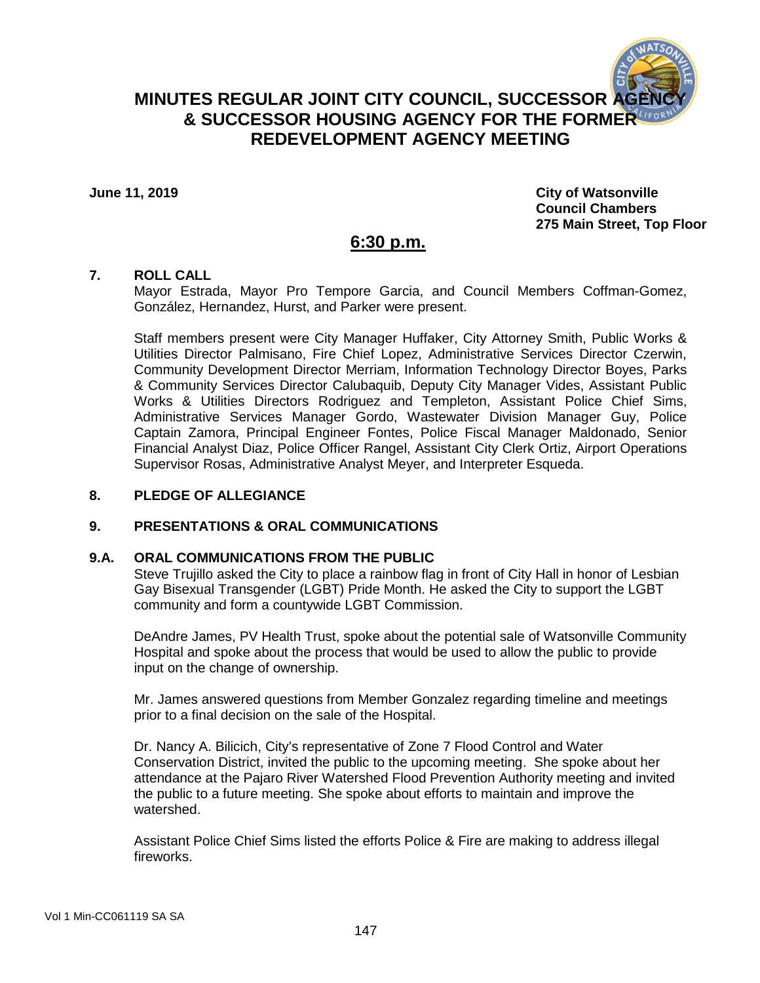

**June 11, 2019 City of Watsonville Council Chambers 275 Main Street, Top Floor**

# **6:30 p.m.**

# **7. ROLL CALL**

Mayor Estrada, Mayor Pro Tempore Garcia, and Council Members Coffman-Gomez, González, Hernandez, Hurst, and Parker were present.

Staff members present were City Manager Huffaker, City Attorney Smith, Public Works & Utilities Director Palmisano, Fire Chief Lopez, Administrative Services Director Czerwin, Community Development Director Merriam, Information Technology Director Boyes, Parks & Community Services Director Calubaquib, Deputy City Manager Vides, Assistant Public Works & Utilities Directors Rodriguez and Templeton, Assistant Police Chief Sims, Administrative Services Manager Gordo, Wastewater Division Manager Guy, Police Captain Zamora, Principal Engineer Fontes, Police Fiscal Manager Maldonado, Senior Financial Analyst Diaz, Police Officer Rangel, Assistant City Clerk Ortiz, Airport Operations Supervisor Rosas, Administrative Analyst Meyer, and Interpreter Esqueda.

# **8. PLEDGE OF ALLEGIANCE**

## **9. PRESENTATIONS & ORAL COMMUNICATIONS**

### **9.A. ORAL COMMUNICATIONS FROM THE PUBLIC**

Steve Trujillo asked the City to place a rainbow flag in front of City Hall in honor of Lesbian Gay Bisexual Transgender (LGBT) Pride Month. He asked the City to support the LGBT community and form a countywide LGBT Commission.

DeAndre James, PV Health Trust, spoke about the potential sale of Watsonville Community Hospital and spoke about the process that would be used to allow the public to provide input on the change of ownership.

Mr. James answered questions from Member Gonzalez regarding timeline and meetings prior to a final decision on the sale of the Hospital.

Dr. Nancy A. Bilicich, City's representative of Zone 7 Flood Control and Water Conservation District, invited the public to the upcoming meeting. She spoke about her attendance at the Pajaro River Watershed Flood Prevention Authority meeting and invited the public to a future meeting. She spoke about efforts to maintain and improve the watershed.

Assistant Police Chief Sims listed the efforts Police & Fire are making to address illegal fireworks.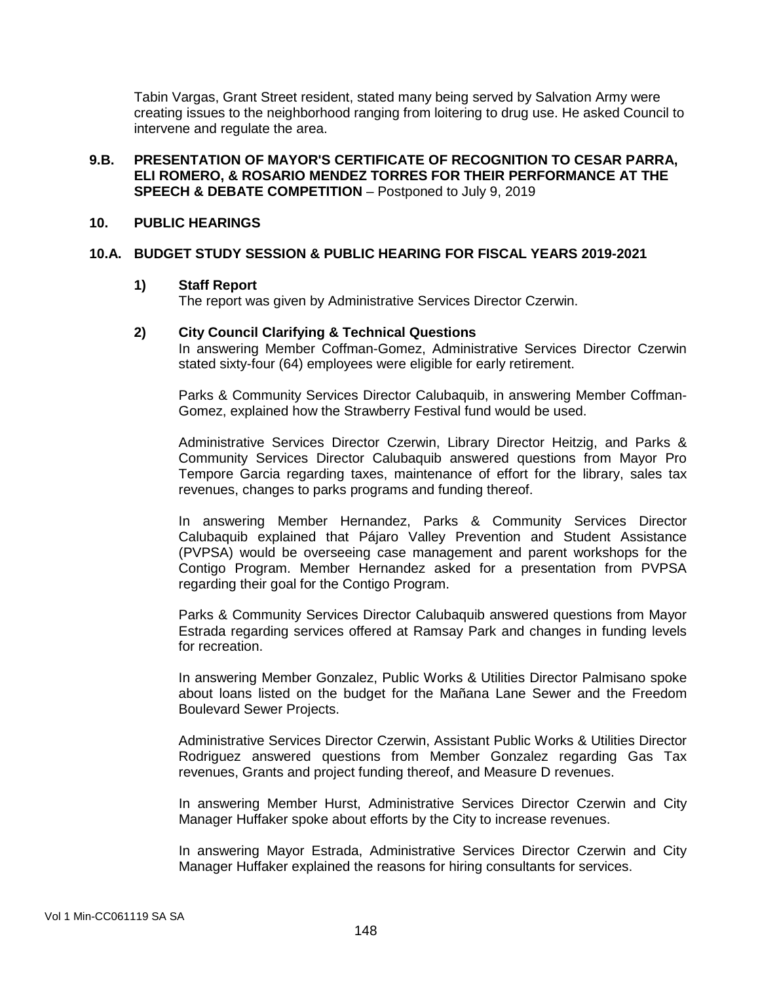Tabin Vargas, Grant Street resident, stated many being served by Salvation Army were creating issues to the neighborhood ranging from loitering to drug use. He asked Council to intervene and regulate the area.

## **9.B. PRESENTATION OF MAYOR'S CERTIFICATE OF RECOGNITION TO CESAR PARRA, ELI ROMERO, & ROSARIO MENDEZ TORRES FOR THEIR PERFORMANCE AT THE SPEECH & DEBATE COMPETITION** – Postponed to July 9, 2019

### **10. PUBLIC HEARINGS**

## **10.A. BUDGET STUDY SESSION & PUBLIC HEARING FOR FISCAL YEARS 2019-2021**

#### **1) Staff Report**

The report was given by Administrative Services Director Czerwin.

### **2) City Council Clarifying & Technical Questions**

In answering Member Coffman-Gomez, Administrative Services Director Czerwin stated sixty-four (64) employees were eligible for early retirement.

Parks & Community Services Director Calubaquib, in answering Member Coffman-Gomez, explained how the Strawberry Festival fund would be used.

Administrative Services Director Czerwin, Library Director Heitzig, and Parks & Community Services Director Calubaquib answered questions from Mayor Pro Tempore Garcia regarding taxes, maintenance of effort for the library, sales tax revenues, changes to parks programs and funding thereof.

In answering Member Hernandez, Parks & Community Services Director Calubaquib explained that Pájaro Valley Prevention and Student Assistance (PVPSA) would be overseeing case management and parent workshops for the Contigo Program. Member Hernandez asked for a presentation from PVPSA regarding their goal for the Contigo Program.

Parks & Community Services Director Calubaquib answered questions from Mayor Estrada regarding services offered at Ramsay Park and changes in funding levels for recreation.

In answering Member Gonzalez, Public Works & Utilities Director Palmisano spoke about loans listed on the budget for the Mañana Lane Sewer and the Freedom Boulevard Sewer Projects.

Administrative Services Director Czerwin, Assistant Public Works & Utilities Director Rodriguez answered questions from Member Gonzalez regarding Gas Tax revenues, Grants and project funding thereof, and Measure D revenues.

In answering Member Hurst, Administrative Services Director Czerwin and City Manager Huffaker spoke about efforts by the City to increase revenues.

In answering Mayor Estrada, Administrative Services Director Czerwin and City Manager Huffaker explained the reasons for hiring consultants for services.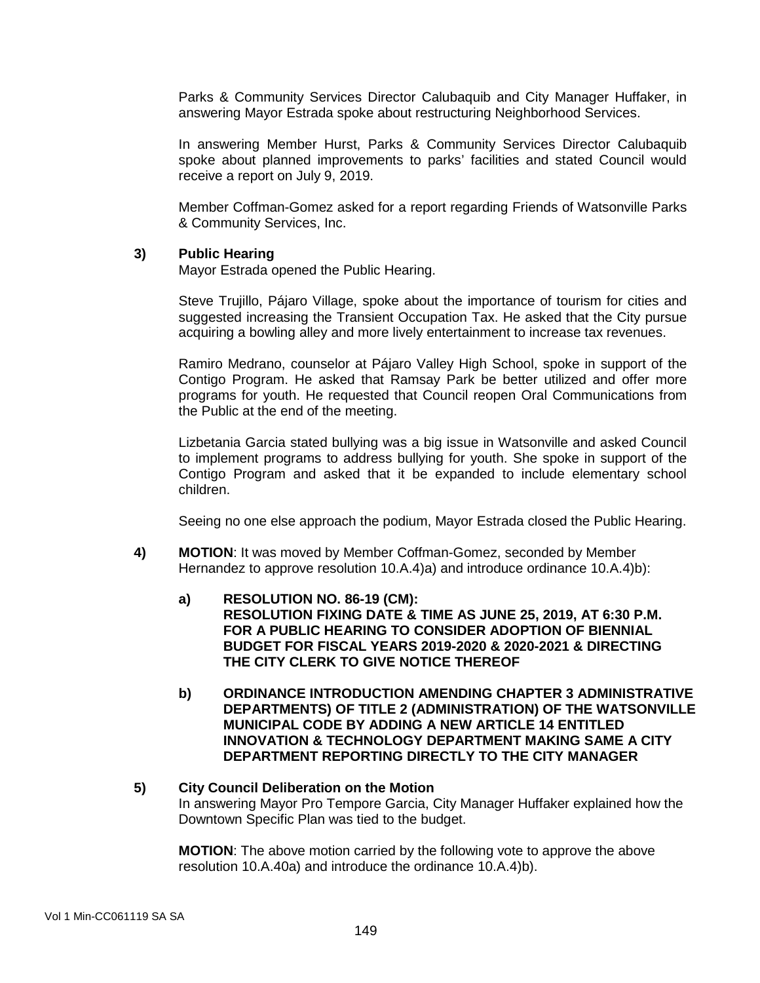Parks & Community Services Director Calubaquib and City Manager Huffaker, in answering Mayor Estrada spoke about restructuring Neighborhood Services.

In answering Member Hurst, Parks & Community Services Director Calubaquib spoke about planned improvements to parks' facilities and stated Council would receive a report on July 9, 2019.

Member Coffman-Gomez asked for a report regarding Friends of Watsonville Parks & Community Services, Inc.

#### **3) Public Hearing**

Mayor Estrada opened the Public Hearing.

Steve Trujillo, Pájaro Village, spoke about the importance of tourism for cities and suggested increasing the Transient Occupation Tax. He asked that the City pursue acquiring a bowling alley and more lively entertainment to increase tax revenues.

Ramiro Medrano, counselor at Pájaro Valley High School, spoke in support of the Contigo Program. He asked that Ramsay Park be better utilized and offer more programs for youth. He requested that Council reopen Oral Communications from the Public at the end of the meeting.

Lizbetania Garcia stated bullying was a big issue in Watsonville and asked Council to implement programs to address bullying for youth. She spoke in support of the Contigo Program and asked that it be expanded to include elementary school children.

Seeing no one else approach the podium, Mayor Estrada closed the Public Hearing.

- **4) MOTION**: It was moved by Member Coffman-Gomez, seconded by Member Hernandez to approve resolution 10.A.4)a) and introduce ordinance 10.A.4)b):
	- **a) RESOLUTION NO. 86-19 (CM): RESOLUTION FIXING DATE & TIME AS JUNE 25, 2019, AT 6:30 P.M. FOR A PUBLIC HEARING TO CONSIDER ADOPTION OF BIENNIAL BUDGET FOR FISCAL YEARS 2019-2020 & 2020-2021 & DIRECTING THE CITY CLERK TO GIVE NOTICE THEREOF**
	- **b) ORDINANCE INTRODUCTION AMENDING CHAPTER 3 ADMINISTRATIVE DEPARTMENTS) OF TITLE 2 (ADMINISTRATION) OF THE WATSONVILLE MUNICIPAL CODE BY ADDING A NEW ARTICLE 14 ENTITLED INNOVATION & TECHNOLOGY DEPARTMENT MAKING SAME A CITY DEPARTMENT REPORTING DIRECTLY TO THE CITY MANAGER**

# **5) City Council Deliberation on the Motion** In answering Mayor Pro Tempore Garcia, City Manager Huffaker explained how the Downtown Specific Plan was tied to the budget.

**MOTION**: The above motion carried by the following vote to approve the above resolution 10.A.40a) and introduce the ordinance 10.A.4)b).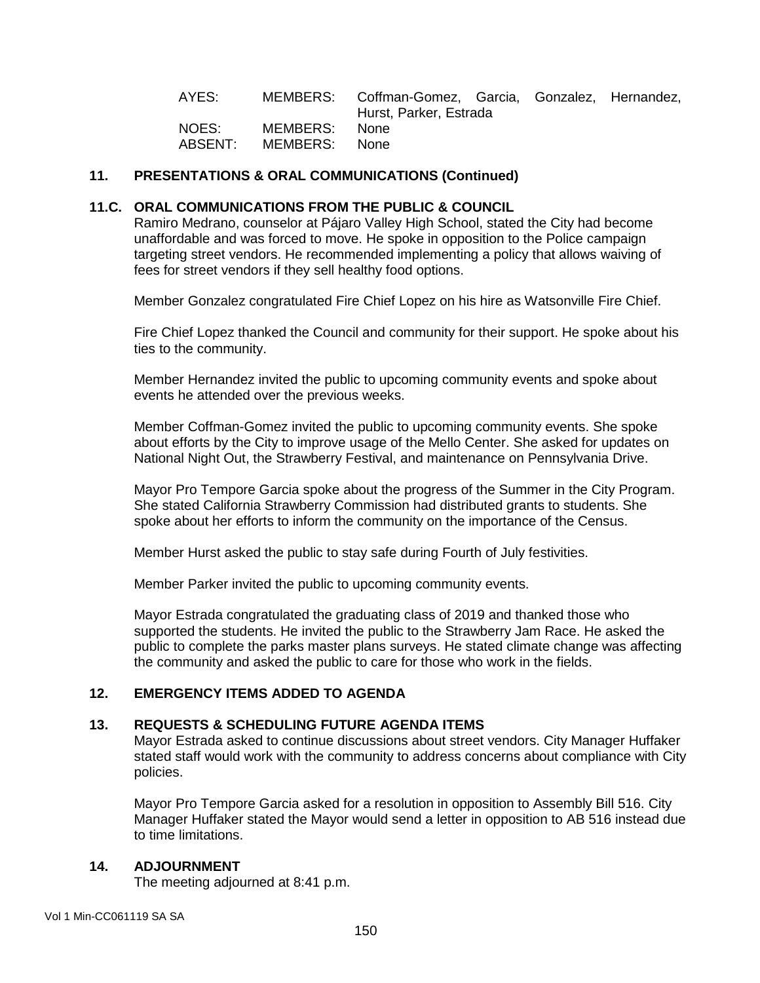| AYES:            |                           | MEMBERS: Coffman-Gomez, Garcia, Gonzalez, Hernandez,<br>Hurst, Parker, Estrada |  |  |
|------------------|---------------------------|--------------------------------------------------------------------------------|--|--|
| NOES:<br>ABSENT: | MEMBERS:<br>MEMBERS: None | None.                                                                          |  |  |

### **11. PRESENTATIONS & ORAL COMMUNICATIONS (Continued)**

#### **11.C. ORAL COMMUNICATIONS FROM THE PUBLIC & COUNCIL**

Ramiro Medrano, counselor at Pájaro Valley High School, stated the City had become unaffordable and was forced to move. He spoke in opposition to the Police campaign targeting street vendors. He recommended implementing a policy that allows waiving of fees for street vendors if they sell healthy food options.

Member Gonzalez congratulated Fire Chief Lopez on his hire as Watsonville Fire Chief.

Fire Chief Lopez thanked the Council and community for their support. He spoke about his ties to the community.

Member Hernandez invited the public to upcoming community events and spoke about events he attended over the previous weeks.

Member Coffman-Gomez invited the public to upcoming community events. She spoke about efforts by the City to improve usage of the Mello Center. She asked for updates on National Night Out, the Strawberry Festival, and maintenance on Pennsylvania Drive.

Mayor Pro Tempore Garcia spoke about the progress of the Summer in the City Program. She stated California Strawberry Commission had distributed grants to students. She spoke about her efforts to inform the community on the importance of the Census.

Member Hurst asked the public to stay safe during Fourth of July festivities.

Member Parker invited the public to upcoming community events.

Mayor Estrada congratulated the graduating class of 2019 and thanked those who supported the students. He invited the public to the Strawberry Jam Race. He asked the public to complete the parks master plans surveys. He stated climate change was affecting the community and asked the public to care for those who work in the fields.

# **12. EMERGENCY ITEMS ADDED TO AGENDA**

#### **13. REQUESTS & SCHEDULING FUTURE AGENDA ITEMS**

Mayor Estrada asked to continue discussions about street vendors. City Manager Huffaker stated staff would work with the community to address concerns about compliance with City policies.

Mayor Pro Tempore Garcia asked for a resolution in opposition to Assembly Bill 516. City Manager Huffaker stated the Mayor would send a letter in opposition to AB 516 instead due to time limitations.

### **14. ADJOURNMENT**

The meeting adjourned at 8:41 p.m.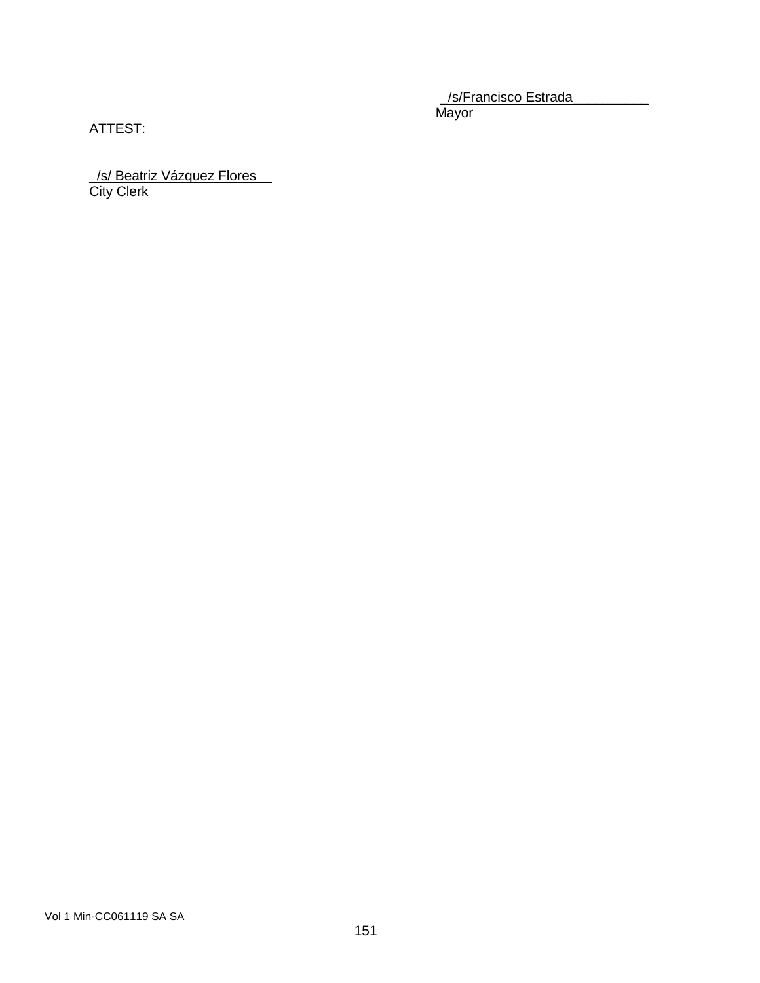\_/s/Francisco Estrada\_\_\_\_\_\_\_\_\_\_ Mayor

ATTEST:

\_/s/ Beatriz Vázquez Flores\_\_ City Clerk